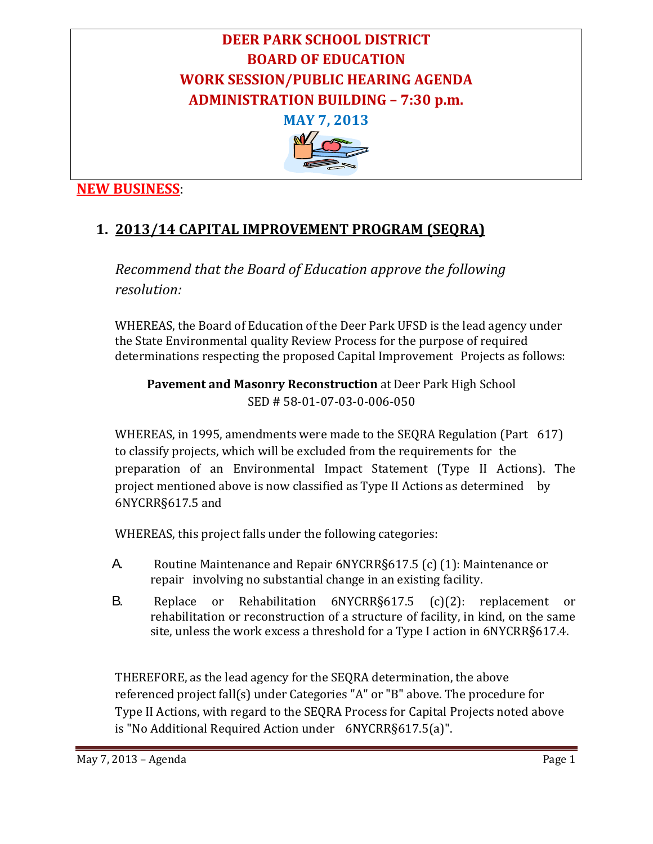

## **NEW BUSINESS**:

## **1. 2013/14 CAPITAL IMPROVEMENT PROGRAM (SEQRA)**

*Recommend that the Board of Education approve the following resolution:*

WHEREAS, the Board of Education of the Deer Park UFSD is the lead agency under the State Environmental quality Review Process for the purpose of required determinations respecting the proposed Capital Improvement Projects as follows:

**Pavement and Masonry Reconstruction** at Deer Park High School SED # 58‐01‐07‐03‐0‐006‐050 

WHEREAS, in 1995, amendments were made to the SEQRA Regulation (Part 617) to classify projects, which will be excluded from the requirements for the preparation of an Environmental Impact Statement (Type II Actions). The project mentioned above is now classified as Type II Actions as determined by 6NYCRR§617.5 and

WHEREAS, this project falls under the following categories:

- A. Routine Maintenance and Repair 6NYCRR§617.5 (c) (1): Maintenance or repair involving no substantial change in an existing facility.
- B. Replace or Rehabilitation 6NYCRR§617.5 (c)(2): replacement or rehabilitation or reconstruction of a structure of facility, in kind, on the same site, unless the work excess a threshold for a Type I action in 6NYCRR§617.4.

THEREFORE, as the lead agency for the SEQRA determination, the above referenced project fall(s) under Categories "A" or "B" above. The procedure for Type II Actions, with regard to the SEQRA Process for Capital Projects noted above is "No Additional Required Action under 6NYCRR§617.5(a)".